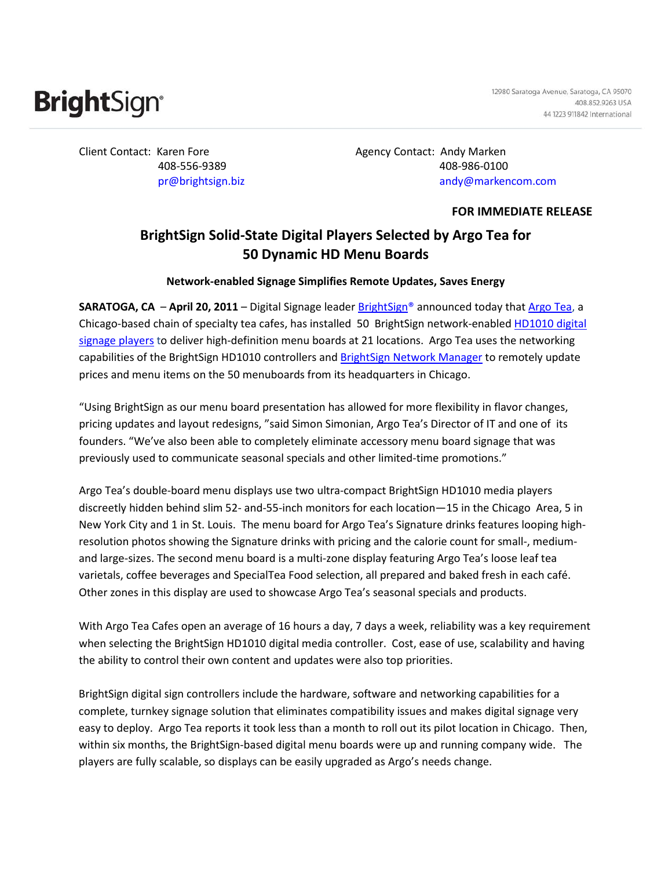# **Bright**Sign<sup>®</sup>

12980 Saratoga Avenue, Saratoga, CA 95070 408.852.9263 USA 44 1223 911842 International

Client Contact: Karen Fore **Agency Contact:** Andy Marken 408-556-9389 408-986-0100 pr@brightsign.biz andy@markencom.com

**FOR IMMEDIATE RELEASE**

## **BrightSign Solid-State Digital Players Selected by Argo Tea for 50 Dynamic HD Menu Boards**

**Network-enabled Signage Simplifies Remote Updates, Saves Energy** 

**SARATOGA, CA** – **April 20, 2011** – Digital Signage leader [BrightSign®](http://www.brightsign.biz/) announced today that [Argo Tea,](http://www.argotea.com/) a Chicago-based chain of specialty tea cafes, has installed 50 BrightSign network-enabled [HD1010 digital](http://www.brightsign.biz/products/hd1010.php)  [signage players](http://www.brightsign.biz/products/hd1010.php) to deliver high-definition menu boards at 21 locations. Argo Tea uses the networking capabilities of the BrightSign HD1010 controllers and [BrightSign Network Manager](http://www.brightsign.biz/products/brightsign_network_manager.php) to remotely update prices and menu items on the 50 menuboards from its headquarters in Chicago.

"Using BrightSign as our menu board presentation has allowed for more flexibility in flavor changes, pricing updates and layout redesigns, "said Simon Simonian, Argo Tea's Director of IT and one of its founders. "We've also been able to completely eliminate accessory menu board signage that was previously used to communicate seasonal specials and other limited-time promotions."

Argo Tea's double-board menu displays use two ultra-compact BrightSign HD1010 media players discreetly hidden behind slim 52- and-55-inch monitors for each location—15 in the Chicago Area, 5 in New York City and 1 in St. Louis. The menu board for Argo Tea's Signature drinks features looping highresolution photos showing the Signature drinks with pricing and the calorie count for small-, mediumand large-sizes. The second menu board is a multi-zone display featuring Argo Tea's loose leaf tea varietals, coffee beverages and SpecialTea Food selection, all prepared and baked fresh in each café. Other zones in this display are used to showcase Argo Tea's seasonal specials and products.

With Argo Tea Cafes open an average of 16 hours a day, 7 days a week, reliability was a key requirement when selecting the BrightSign HD1010 digital media controller. Cost, ease of use, scalability and having the ability to control their own content and updates were also top priorities.

BrightSign digital sign controllers include the hardware, software and networking capabilities for a complete, turnkey signage solution that eliminates compatibility issues and makes digital signage very easy to deploy. Argo Tea reports it took less than a month to roll out its pilot location in Chicago. Then, within six months, the BrightSign-based digital menu boards were up and running company wide. The players are fully scalable, so displays can be easily upgraded as Argo's needs change.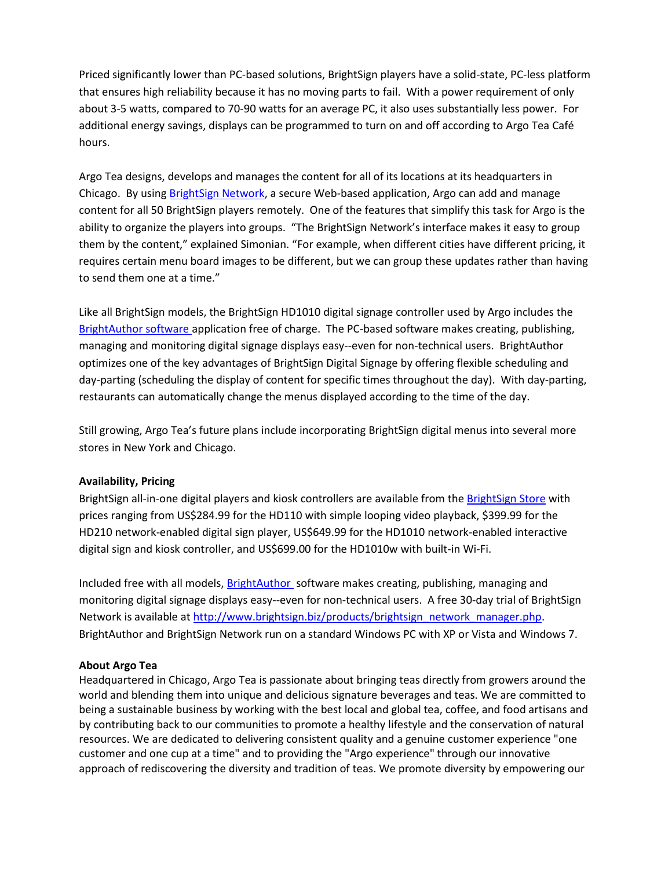Priced significantly lower than PC-based solutions, BrightSign players have a solid-state, PC-less platform that ensures high reliability because it has no moving parts to fail. With a power requirement of only about 3-5 watts, compared to 70-90 watts for an average PC, it also uses substantially less power. For additional energy savings, displays can be programmed to turn on and off according to Argo Tea Café hours.

Argo Tea designs, develops and manages the content for all of its locations at its headquarters in Chicago. By using [BrightSign Network,](http://www.brightsign.biz/products/brightsign_network_manager.php) a secure Web-based application, Argo can add and manage content for all 50 BrightSign players remotely. One of the features that simplify this task for Argo is the ability to organize the players into groups. "The BrightSign Network's interface makes it easy to group them by the content," explained Simonian. "For example, when different cities have different pricing, it requires certain menu board images to be different, but we can group these updates rather than having to send them one at a time."

Like all BrightSign models, the BrightSign HD1010 digital signage controller used by Argo includes the [BrightAuthor software a](http://www.brightsign.biz/products/brightauthor.php)pplication free of charge. The PC-based software makes creating, publishing, managing and monitoring digital signage displays easy--even for non-technical users. BrightAuthor optimizes one of the key advantages of BrightSign Digital Signage by offering flexible scheduling and day-parting (scheduling the display of content for specific times throughout the day). With day-parting, restaurants can automatically change the menus displayed according to the time of the day.

Still growing, Argo Tea's future plans include incorporating BrightSign digital menus into several more stores in New York and Chicago.

### **Availability, Pricing**

BrightSign all-in-one digital players and kiosk controllers are available from th[e BrightSign Store](http://store.brightsign.biz/Store-W1.aspx) with prices ranging from US\$284.99 for the HD110 with simple looping video playback, \$399.99 for the HD210 network-enabled digital sign player, US\$649.99 for the HD1010 network-enabled interactive digital sign and kiosk controller, and US\$699.00 for the HD1010w with built-in Wi-Fi.

Included free with all models[, BrightAuthor s](http://www.brightsign.biz/products/brightauthor.php)oftware makes creating, publishing, managing and monitoring digital signage displays easy--even for non-technical users. A free 30-day trial of BrightSign Network is available at [http://www.brightsign.biz/products/brightsign\\_network\\_manager.php.](http://www.brightsign.biz/products/brightsign_network_manager.php) BrightAuthor and BrightSign Network run on a standard Windows PC with XP or Vista and Windows 7.

#### **About Argo Tea**

Headquartered in Chicago, Argo Tea is passionate about bringing teas directly from growers around the world and blending them into unique and delicious signature beverages and teas. We are committed to being a sustainable business by working with the best local and global tea, coffee, and food artisans and by contributing back to our communities to promote a healthy lifestyle and the conservation of natural resources. We are dedicated to delivering consistent quality and a genuine customer experience "one customer and one cup at a time" and to providing the "Argo experience" through our innovative approach of rediscovering the diversity and tradition of teas. We promote diversity by empowering our